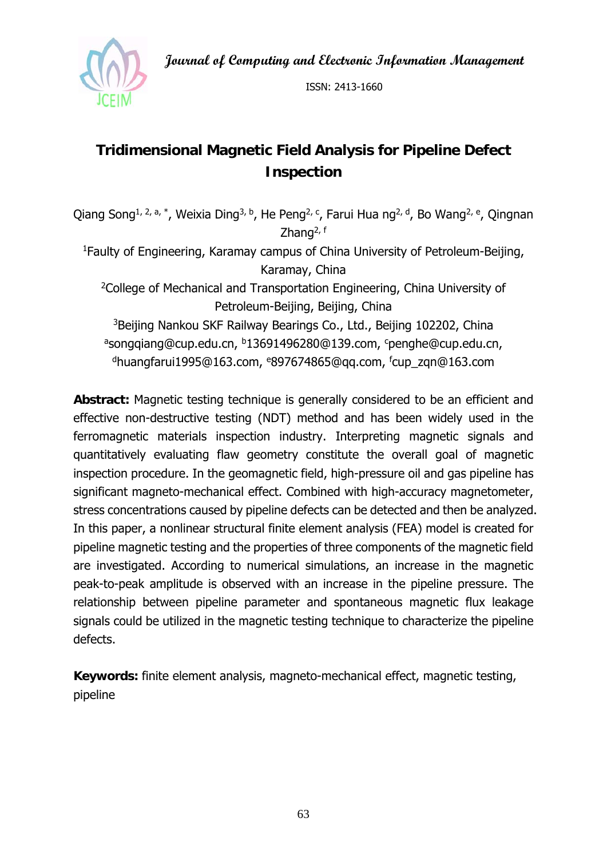**Journal of Computing and Electronic Information Management** 



ISSN: 2413-1660

# **Tridimensional Magnetic Field Analysis for Pipeline Defect Inspection**

Qiang Song<sup>1, 2, a, \*</sup>, Weixia Ding<sup>3, b</sup>, He Peng<sup>2, c</sup>, Farui Hua ng<sup>2, d</sup>, Bo Wang<sup>2, e</sup>, Qingnan Zhang<sup>2, f</sup> 1Faulty of Engineering, Karamay campus of China University of Petroleum-Beijing, Karamay, China <sup>2</sup>College of Mechanical and Transportation Engineering, China University of Petroleum-Beijing, Beijing, China <sup>3</sup>Beijing Nankou SKF Railway Bearings Co., Ltd., Beijing 102202, China <sup>a</sup>songqiang@cup.edu.cn, <sup>b</sup>13691496280@139.com, cpenghe@cup.edu.cn, dhuangfarui1995@163.com, e897674865@qq.com, f cup\_zqn@163.com

**Abstract:** Magnetic testing technique is generally considered to be an efficient and effective non-destructive testing (NDT) method and has been widely used in the ferromagnetic materials inspection industry. Interpreting magnetic signals and quantitatively evaluating flaw geometry constitute the overall goal of magnetic inspection procedure. In the geomagnetic field, high-pressure oil and gas pipeline has significant magneto-mechanical effect. Combined with high-accuracy magnetometer, stress concentrations caused by pipeline defects can be detected and then be analyzed. In this paper, a nonlinear structural finite element analysis (FEA) model is created for pipeline magnetic testing and the properties of three components of the magnetic field are investigated. According to numerical simulations, an increase in the magnetic peak-to-peak amplitude is observed with an increase in the pipeline pressure. The relationship between pipeline parameter and spontaneous magnetic flux leakage signals could be utilized in the magnetic testing technique to characterize the pipeline defects.

**Keywords:** finite element analysis, magneto-mechanical effect, magnetic testing, pipeline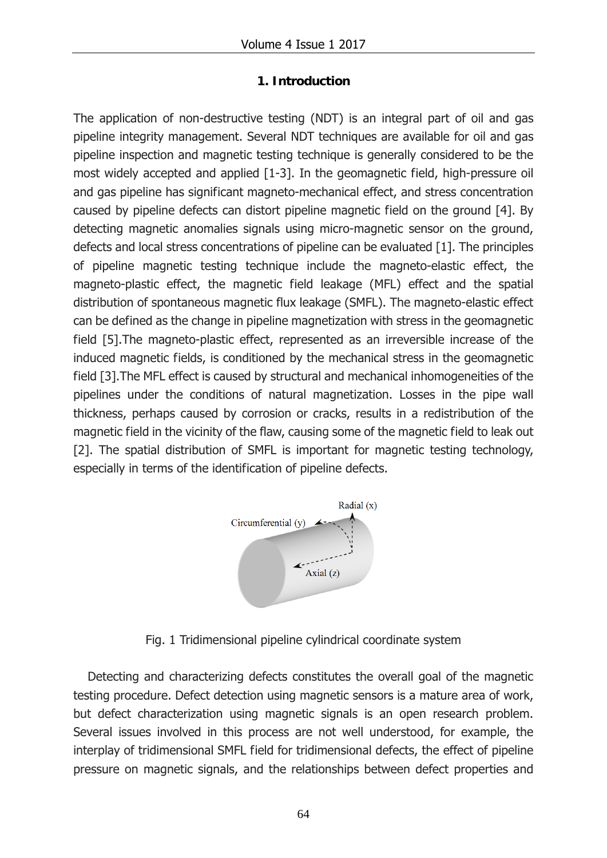### **1. Introduction**

The application of non-destructive testing (NDT) is an integral part of oil and gas pipeline integrity management. Several NDT techniques are available for oil and gas pipeline inspection and magnetic testing technique is generally considered to be the most widely accepted and applied [1-3]. In the geomagnetic field, high-pressure oil and gas pipeline has significant magneto-mechanical effect, and stress concentration caused by pipeline defects can distort pipeline magnetic field on the ground [4]. By detecting magnetic anomalies signals using micro-magnetic sensor on the ground, defects and local stress concentrations of pipeline can be evaluated [1]. The principles of pipeline magnetic testing technique include the magneto-elastic effect, the magneto-plastic effect, the magnetic field leakage (MFL) effect and the spatial distribution of spontaneous magnetic flux leakage (SMFL). The magneto-elastic effect can be defined as the change in pipeline magnetization with stress in the geomagnetic field [5].The magneto-plastic effect, represented as an irreversible increase of the induced magnetic fields, is conditioned by the mechanical stress in the geomagnetic field [3].The MFL effect is caused by structural and mechanical inhomogeneities of the pipelines under the conditions of natural magnetization. Losses in the pipe wall thickness, perhaps caused by corrosion or cracks, results in a redistribution of the magnetic field in the vicinity of the flaw, causing some of the magnetic field to leak out [2]. The spatial distribution of SMFL is important for magnetic testing technology, especially in terms of the identification of pipeline defects.



Fig. 1 Tridimensional pipeline cylindrical coordinate system

Detecting and characterizing defects constitutes the overall goal of the magnetic testing procedure. Defect detection using magnetic sensors is a mature area of work, but defect characterization using magnetic signals is an open research problem. Several issues involved in this process are not well understood, for example, the interplay of tridimensional SMFL field for tridimensional defects, the effect of pipeline pressure on magnetic signals, and the relationships between defect properties and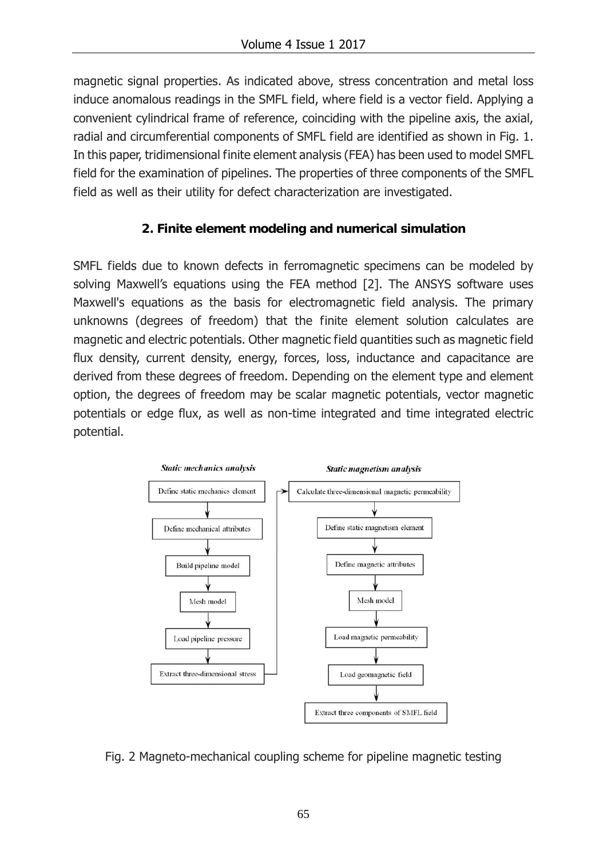magnetic signal properties. As indicated above, stress concentration and metal loss induce anomalous readings in the SMFL field, where field is a vector field. Applying a convenient cylindrical frame of reference, coinciding with the pipeline axis, the axial, radial and circumferential components of SMFL field are identified as shown in Fig. 1. In this paper, tridimensional finite element analysis (FEA) has been used to model SMFL field for the examination of pipelines. The properties of three components of the SMFL field as well as their utility for defect characterization are investigated.

## **2. Finite element modeling and numerical simulation**

SMFL fields due to known defects in ferromagnetic specimens can be modeled by solving Maxwell's equations using the FEA method [2]. The ANSYS software uses Maxwell's equations as the basis for electromagnetic field analysis. The primary unknowns (degrees of freedom) that the finite element solution calculates are magnetic and electric potentials. Other magnetic field quantities such as magnetic field flux density, current density, energy, forces, loss, inductance and capacitance are derived from these degrees of freedom. Depending on the element type and element option, the degrees of freedom may be scalar magnetic potentials, vector magnetic potentials or edge flux, as well as non-time integrated and time integrated electric potential.



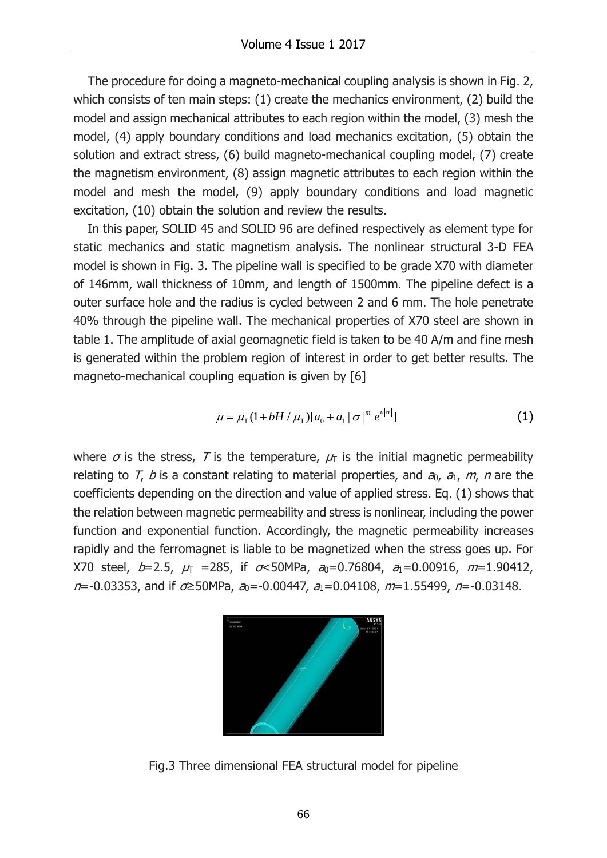The procedure for doing a magneto-mechanical coupling analysis is shown in Fig. 2, which consists of ten main steps: (1) create the mechanics environment, (2) build the model and assign mechanical attributes to each region within the model, (3) mesh the model, (4) apply boundary conditions and load mechanics excitation, (5) obtain the solution and extract stress, (6) build magneto-mechanical coupling model, (7) create the magnetism environment, (8) assign magnetic attributes to each region within the model and mesh the model, (9) apply boundary conditions and load magnetic excitation, (10) obtain the solution and review the results.

In this paper, SOLID 45 and SOLID 96 are defined respectively as element type for static mechanics and static magnetism analysis. The nonlinear structural 3-D FEA model is shown in Fig. 3. The pipeline wall is specified to be grade X70 with diameter of 146mm, wall thickness of 10mm, and length of 1500mm. The pipeline defect is a outer surface hole and the radius is cycled between 2 and 6 mm. The hole penetrate 40% through the pipeline wall. The mechanical properties of X70 steel are shown in table 1. The amplitude of axial geomagnetic field is taken to be 40 A/m and fine mesh is generated within the problem region of interest in order to get better results. The magneto-mechanical coupling equation is given by [6]

$$
\mu = \mu_{\rm T} (1 + bH / \mu_{\rm T}) [a_0 + a_1 | \sigma |^{m} e^{n|\sigma|}]
$$
 (1)

where  $\sigma$  is the stress, T is the temperature,  $\mu_{\text{t}}$  is the initial magnetic permeability relating to T, b is a constant relating to material properties, and  $a_0$ ,  $a_1$ ,  $m$ , n are the coefficients depending on the direction and value of applied stress. Eq. (1) shows that the relation between magnetic permeability and stress is nonlinear, including the power function and exponential function. Accordingly, the magnetic permeability increases rapidly and the ferromagnet is liable to be magnetized when the stress goes up. For X70 steel,  $b=2.5$ ,  $\mu_{\text{t}} = 285$ , if  $\sigma < 50$ MPa,  $a_0=0.76804$ ,  $a_1=0.00916$ ,  $m=1.90412$ ,  $n=0.03353$ , and if  $\sigma \geq 50$ MPa,  $a_0 = -0.00447$ ,  $a_1 = 0.04108$ ,  $m=1.55499$ ,  $n=0.03148$ .



Fig.3 Three dimensional FEA structural model for pipeline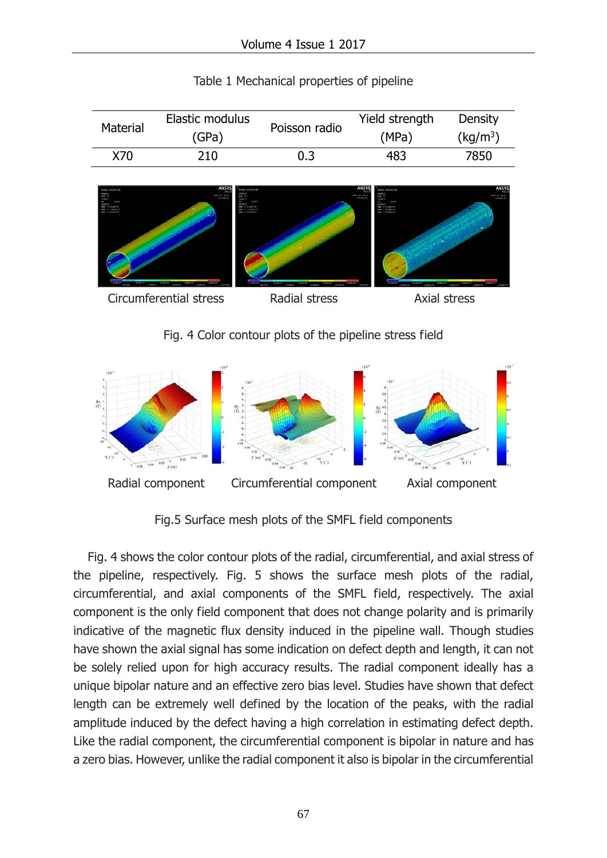| Material | Elastic modulus | Poisson radio | Yield strength | Density              |
|----------|-----------------|---------------|----------------|----------------------|
|          | (GPa)           |               | (MPa)          | (kq/m <sup>3</sup> ) |
| X70      | 210             | 0.3           | 483            | 7850                 |

| Table 1 Mechanical properties of pipeline |  |  |
|-------------------------------------------|--|--|
|-------------------------------------------|--|--|



Fig. 4 Color contour plots of the pipeline stress field



Fig.5 Surface mesh plots of the SMFL field components

Fig. 4 shows the color contour plots of the radial, circumferential, and axial stress of the pipeline, respectively. Fig. 5 shows the surface mesh plots of the radial, circumferential, and axial components of the SMFL field, respectively. The axial component is the only field component that does not change polarity and is primarily indicative of the magnetic flux density induced in the pipeline wall. Though studies have shown the axial signal has some indication on defect depth and length, it can not be solely relied upon for high accuracy results. The radial component ideally has a unique bipolar nature and an effective zero bias level. Studies have shown that defect length can be extremely well defined by the location of the peaks, with the radial amplitude induced by the defect having a high correlation in estimating defect depth. Like the radial component, the circumferential component is bipolar in nature and has a zero bias. However, unlike the radial component it also is bipolar in the circumferential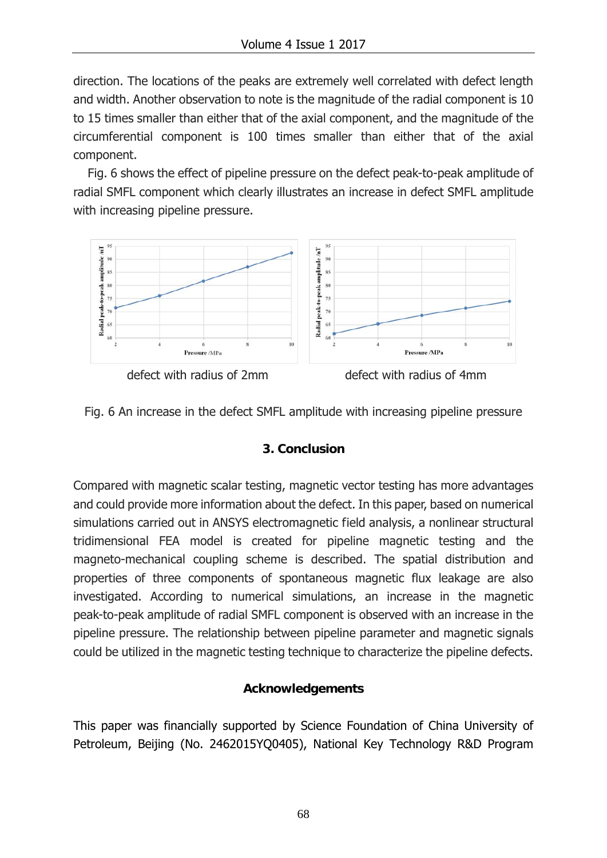direction. The locations of the peaks are extremely well correlated with defect length and width. Another observation to note is the magnitude of the radial component is 10 to 15 times smaller than either that of the axial component, and the magnitude of the circumferential component is 100 times smaller than either that of the axial component.

Fig. 6 shows the effect of pipeline pressure on the defect peak-to-peak amplitude of radial SMFL component which clearly illustrates an increase in defect SMFL amplitude with increasing pipeline pressure.



Fig. 6 An increase in the defect SMFL amplitude with increasing pipeline pressure

#### **3. Conclusion**

Compared with magnetic scalar testing, magnetic vector testing has more advantages and could provide more information about the defect. In this paper, based on numerical simulations carried out in ANSYS electromagnetic field analysis, a nonlinear structural tridimensional FEA model is created for pipeline magnetic testing and the magneto-mechanical coupling scheme is described. The spatial distribution and properties of three components of spontaneous magnetic flux leakage are also investigated. According to numerical simulations, an increase in the magnetic peak-to-peak amplitude of radial SMFL component is observed with an increase in the pipeline pressure. The relationship between pipeline parameter and magnetic signals could be utilized in the magnetic testing technique to characterize the pipeline defects.

#### **Acknowledgements**

This paper was financially supported by Science Foundation of China University of Petroleum, Beijing (No. 2462015YQ0405), National Key Technology R&D Program